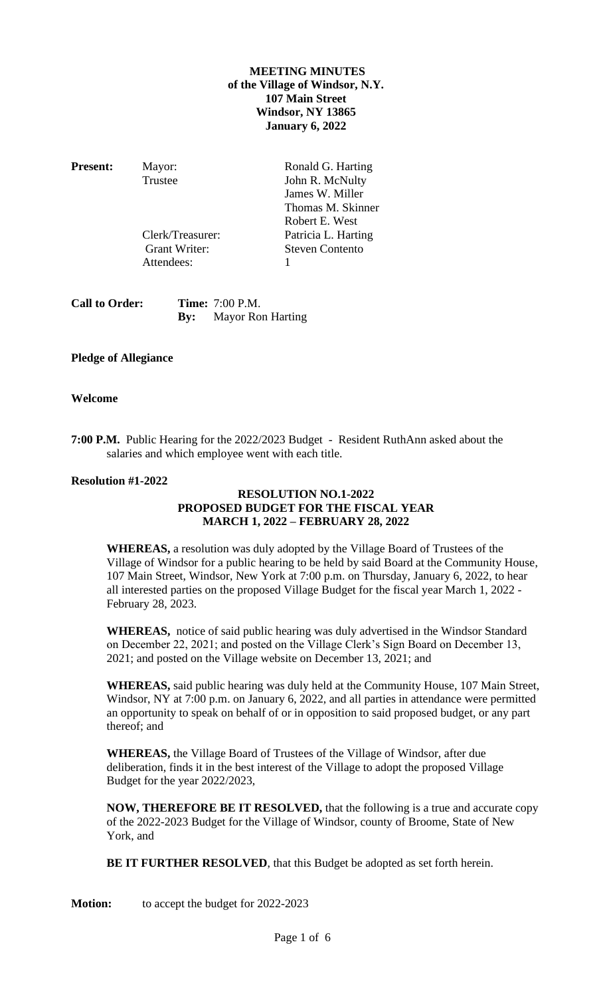### **MEETING MINUTES of the Village of Windsor, N.Y. 107 Main Street Windsor, NY 13865 January 6, 2022**

Attendees: 1

**Present:** Mayor: Ronald G. Harting Trustee John R. McNulty James W. Miller Thomas M. Skinner Robert E. West Clerk/Treasurer: Patricia L. Harting Grant Writer: Steven Contento

**Call to Order: Time:** 7:00 P.M. **By:** Mayor Ron Harting

# **Pledge of Allegiance**

### **Welcome**

**7:00 P.M.** Public Hearing for the 2022/2023 Budget - Resident RuthAnn asked about the salaries and which employee went with each title.

### **Resolution #1-2022**

### **RESOLUTION NO.1-2022 PROPOSED BUDGET FOR THE FISCAL YEAR MARCH 1, 2022 – FEBRUARY 28, 2022**

**WHEREAS,** a resolution was duly adopted by the Village Board of Trustees of the Village of Windsor for a public hearing to be held by said Board at the Community House, 107 Main Street, Windsor, New York at 7:00 p.m. on Thursday, January 6, 2022, to hear all interested parties on the proposed Village Budget for the fiscal year March 1, 2022 - February 28, 2023.

**WHEREAS,** notice of said public hearing was duly advertised in the Windsor Standard on December 22, 2021; and posted on the Village Clerk's Sign Board on December 13, 2021; and posted on the Village website on December 13, 2021; and

**WHEREAS,** said public hearing was duly held at the Community House, 107 Main Street, Windsor, NY at 7:00 p.m. on January 6, 2022, and all parties in attendance were permitted an opportunity to speak on behalf of or in opposition to said proposed budget, or any part thereof; and

**WHEREAS,** the Village Board of Trustees of the Village of Windsor, after due deliberation, finds it in the best interest of the Village to adopt the proposed Village Budget for the year 2022/2023,

**NOW, THEREFORE BE IT RESOLVED,** that the following is a true and accurate copy of the 2022-2023 Budget for the Village of Windsor, county of Broome, State of New York, and

**BE IT FURTHER RESOLVED**, that this Budget be adopted as set forth herein.

**Motion:** to accept the budget for 2022-2023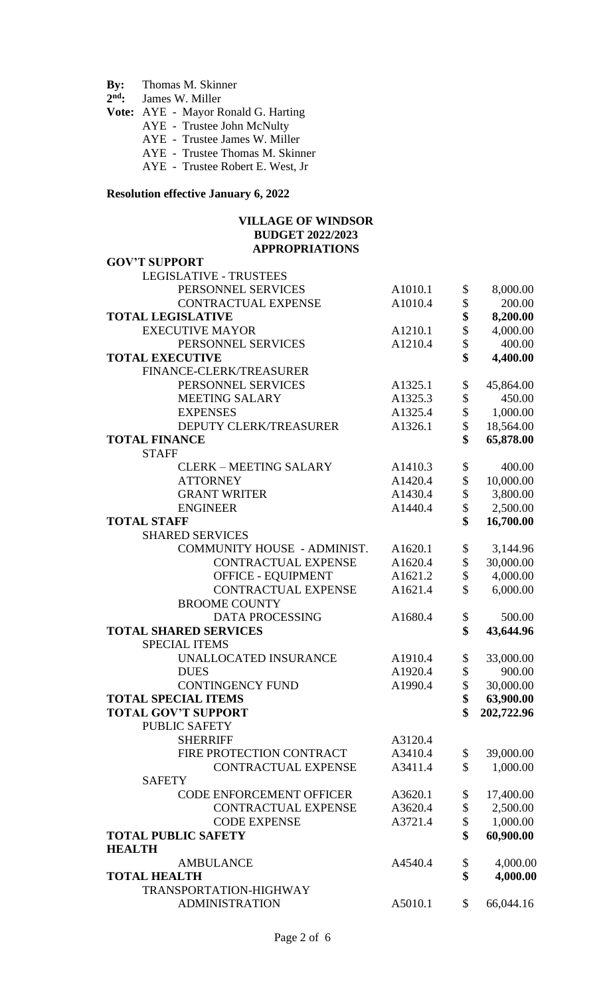# **By:** Thomas M. Skinner By:<br> $2<sup>nd</sup>$ :

- James W. Miller
- **Vote:** AYE Mayor Ronald G. Harting
	- AYE Trustee John McNulty
	- AYE Trustee James W. Miller
	- AYE Trustee Thomas M. Skinner
	- AYE Trustee Robert E. West, Jr

### **Resolution effective January 6, 2022**

#### **VILLAGE OF WINDSOR BUDGET 2022/2023 APPROPRIATIONS**

| <b>GOV'T SUPPORT</b>               |         |                  |
|------------------------------------|---------|------------------|
| <b>LEGISLATIVE - TRUSTEES</b>      |         |                  |
| PERSONNEL SERVICES                 | A1010.1 | \$<br>8,000.00   |
| CONTRACTUAL EXPENSE                | A1010.4 | \$<br>200.00     |
| <b>TOTAL LEGISLATIVE</b>           |         | \$<br>8,200.00   |
| <b>EXECUTIVE MAYOR</b>             | A1210.1 | \$<br>4,000.00   |
| PERSONNEL SERVICES                 | A1210.4 | \$<br>400.00     |
| <b>TOTAL EXECUTIVE</b>             |         | \$<br>4,400.00   |
| FINANCE-CLERK/TREASURER            |         |                  |
| PERSONNEL SERVICES                 | A1325.1 | \$<br>45,864.00  |
| <b>MEETING SALARY</b>              | A1325.3 | \$<br>450.00     |
| <b>EXPENSES</b>                    | A1325.4 | \$<br>1,000.00   |
| <b>DEPUTY CLERK/TREASURER</b>      | A1326.1 | \$<br>18,564.00  |
| <b>TOTAL FINANCE</b>               |         | \$<br>65,878.00  |
| <b>STAFF</b>                       |         |                  |
| <b>CLERK - MEETING SALARY</b>      | A1410.3 | \$<br>400.00     |
| <b>ATTORNEY</b>                    | A1420.4 | \$<br>10,000.00  |
| <b>GRANT WRITER</b>                | A1430.4 | \$<br>3,800.00   |
| <b>ENGINEER</b>                    | A1440.4 | \$<br>2,500.00   |
| <b>TOTAL STAFF</b>                 |         | \$<br>16,700.00  |
| <b>SHARED SERVICES</b>             |         |                  |
| <b>COMMUNITY HOUSE - ADMINIST.</b> | A1620.1 | \$<br>3,144.96   |
| <b>CONTRACTUAL EXPENSE</b>         | A1620.4 | \$<br>30,000.00  |
| <b>OFFICE - EQUIPMENT</b>          | A1621.2 | \$<br>4,000.00   |
| <b>CONTRACTUAL EXPENSE</b>         | A1621.4 | \$<br>6,000.00   |
| <b>BROOME COUNTY</b>               |         |                  |
| DATA PROCESSING                    | A1680.4 | \$<br>500.00     |
| <b>TOTAL SHARED SERVICES</b>       |         | \$<br>43,644.96  |
| <b>SPECIAL ITEMS</b>               |         |                  |
| UNALLOCATED INSURANCE              | A1910.4 | \$<br>33,000.00  |
| <b>DUES</b>                        | A1920.4 | \$<br>900.00     |
| <b>CONTINGENCY FUND</b>            | A1990.4 | \$<br>30,000.00  |
| <b>TOTAL SPECIAL ITEMS</b>         |         | \$<br>63,900.00  |
| <b>TOTAL GOV'T SUPPORT</b>         |         | \$<br>202,722.96 |
| <b>PUBLIC SAFETY</b>               |         |                  |
| <b>SHERRIFF</b>                    | A3120.4 |                  |
| FIRE PROTECTION CONTRACT           | A3410.4 | \$<br>39,000.00  |
| <b>CONTRACTUAL EXPENSE</b>         | A3411.4 | \$<br>1,000.00   |
| <b>SAFETY</b>                      |         |                  |
| <b>CODE ENFORCEMENT OFFICER</b>    | A3620.1 | \$<br>17,400.00  |
| <b>CONTRACTUAL EXPENSE</b>         | A3620.4 | \$<br>2,500.00   |
| <b>CODE EXPENSE</b>                | A3721.4 | \$<br>1,000.00   |
| <b>TOTAL PUBLIC SAFETY</b>         |         | \$<br>60,900.00  |
| <b>HEALTH</b>                      |         |                  |
| <b>AMBULANCE</b>                   | A4540.4 | \$<br>4,000.00   |
| <b>TOTAL HEALTH</b>                |         | \$<br>4,000.00   |
| TRANSPORTATION-HIGHWAY             |         |                  |
| <b>ADMINISTRATION</b>              | A5010.1 | \$<br>66,044.16  |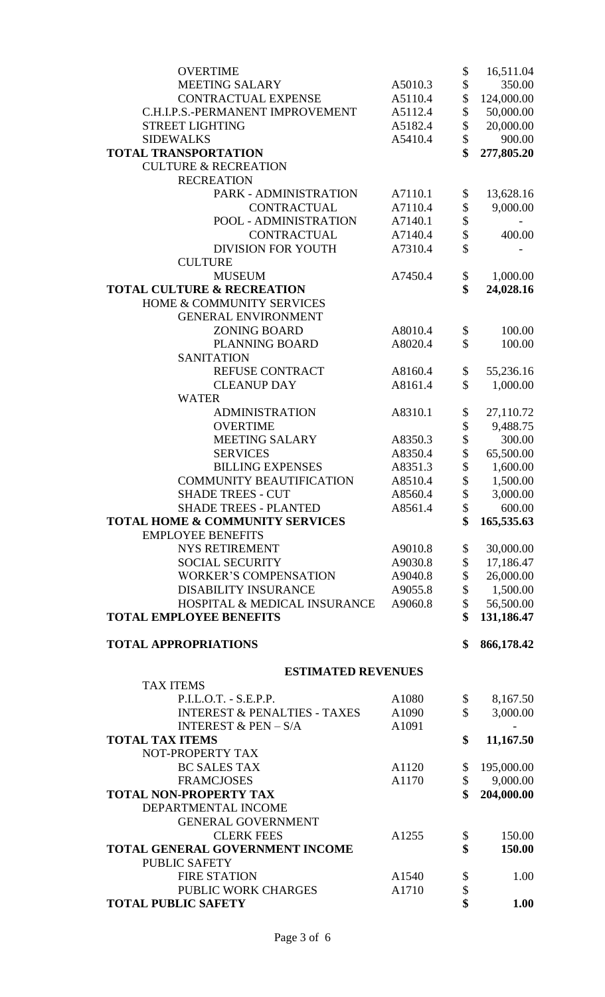| <b>OVERTIME</b>                               |         | \$       | 16,511.04  |
|-----------------------------------------------|---------|----------|------------|
| <b>MEETING SALARY</b>                         | A5010.3 | \$       | 350.00     |
| CONTRACTUAL EXPENSE                           | A5110.4 | \$       | 124,000.00 |
| C.H.I.P.S.-PERMANENT IMPROVEMENT              | A5112.4 | \$       | 50,000.00  |
| <b>STREET LIGHTING</b>                        | A5182.4 | \$       | 20,000.00  |
| <b>SIDEWALKS</b>                              | A5410.4 | \$       | 900.00     |
| <b>TOTAL TRANSPORTATION</b>                   |         |          | 277,805.20 |
| <b>CULTURE &amp; RECREATION</b>               |         |          |            |
| <b>RECREATION</b>                             |         |          |            |
| PARK - ADMINISTRATION                         | A7110.1 | \$       | 13,628.16  |
| <b>CONTRACTUAL</b>                            | A7110.4 | \$       | 9,000.00   |
| POOL - ADMINISTRATION                         | A7140.1 | \$       |            |
| <b>CONTRACTUAL</b>                            | A7140.4 | \$       | 400.00     |
| <b>DIVISION FOR YOUTH</b>                     | A7310.4 | \$       |            |
| <b>CULTURE</b>                                |         |          |            |
| <b>MUSEUM</b>                                 | A7450.4 | \$       | 1,000.00   |
| <b>TOTAL CULTURE &amp; RECREATION</b>         |         | \$       | 24,028.16  |
| HOME & COMMUNITY SERVICES                     |         |          |            |
| <b>GENERAL ENVIRONMENT</b>                    |         |          |            |
| <b>ZONING BOARD</b>                           | A8010.4 | \$       | 100.00     |
| <b>PLANNING BOARD</b>                         | A8020.4 | \$       | 100.00     |
| <b>SANITATION</b>                             |         |          |            |
| REFUSE CONTRACT                               | A8160.4 | \$       | 55,236.16  |
| <b>CLEANUP DAY</b>                            | A8161.4 | \$       | 1,000.00   |
| <b>WATER</b>                                  |         |          |            |
| <b>ADMINISTRATION</b>                         | A8310.1 | \$       | 27,110.72  |
| <b>OVERTIME</b>                               |         | \$       | 9,488.75   |
| <b>MEETING SALARY</b>                         | A8350.3 | \$       | 300.00     |
| <b>SERVICES</b>                               | A8350.4 | \$       | 65,500.00  |
| <b>BILLING EXPENSES</b>                       | A8351.3 | \$       | 1,600.00   |
| <b>COMMUNITY BEAUTIFICATION</b>               | A8510.4 | \$       | 1,500.00   |
| <b>SHADE TREES - CUT</b>                      | A8560.4 | \$       | 3,000.00   |
| <b>SHADE TREES - PLANTED</b>                  | A8561.4 |          | 600.00     |
| <b>TOTAL HOME &amp; COMMUNITY SERVICES</b>    |         | \$       | 165,535.63 |
| <b>EMPLOYEE BENEFITS</b>                      |         |          |            |
| <b>NYS RETIREMENT</b>                         | A9010.8 | \$       | 30,000.00  |
| <b>SOCIAL SECURITY</b>                        | A9030.8 | \$       | 17,186.47  |
| <b>WORKER'S COMPENSATION</b>                  | A9040.8 | \$       | 26,000.00  |
| <b>DISABILITY INSURANCE</b>                   | A9055.8 | \$       | 1,500.00   |
| HOSPITAL & MEDICAL INSURANCE                  | A9060.8 | \$       | 56,500.00  |
| <b>TOTAL EMPLOYEE BENEFITS</b>                |         |          | 131,186.47 |
|                                               |         | \$       |            |
| <b>TOTAL APPROPRIATIONS</b>                   |         |          | 866,178.42 |
| <b>ESTIMATED REVENUES</b><br><b>TAX ITEMS</b> |         |          |            |
| $P.I.L.O.T. - S.E.P.P.$                       | A1080   | \$       | 8,167.50   |
| <b>INTEREST &amp; PENALTIES - TAXES</b>       | A1090   | \$       | 3,000.00   |
| INTEREST $&$ PEN $-$ S/A                      | A1091   |          |            |
| <b>TOTAL TAX ITEMS</b>                        |         | \$       | 11,167.50  |
| NOT-PROPERTY TAX                              |         |          |            |
| <b>BC SALES TAX</b>                           | A1120   |          | 195,000.00 |
| <b>FRAMCJOSES</b>                             | A1170   | \$<br>\$ | 9,000.00   |
| <b>TOTAL NON-PROPERTY TAX</b>                 |         |          | 204,000.00 |
|                                               |         |          |            |
| DEPARTMENTAL INCOME                           |         |          |            |
| <b>GENERAL GOVERNMENT</b>                     |         |          |            |
| <b>CLERK FEES</b>                             | A1255   | \$       | 150.00     |
| TOTAL GENERAL GOVERNMENT INCOME               |         | \$       | 150.00     |
| <b>PUBLIC SAFETY</b>                          |         |          |            |
| <b>FIRE STATION</b>                           | A1540   | \$       | 1.00       |
| PUBLIC WORK CHARGES                           | A1710   | \$       |            |
| <b>TOTAL PUBLIC SAFETY</b>                    |         | \$       | 1.00       |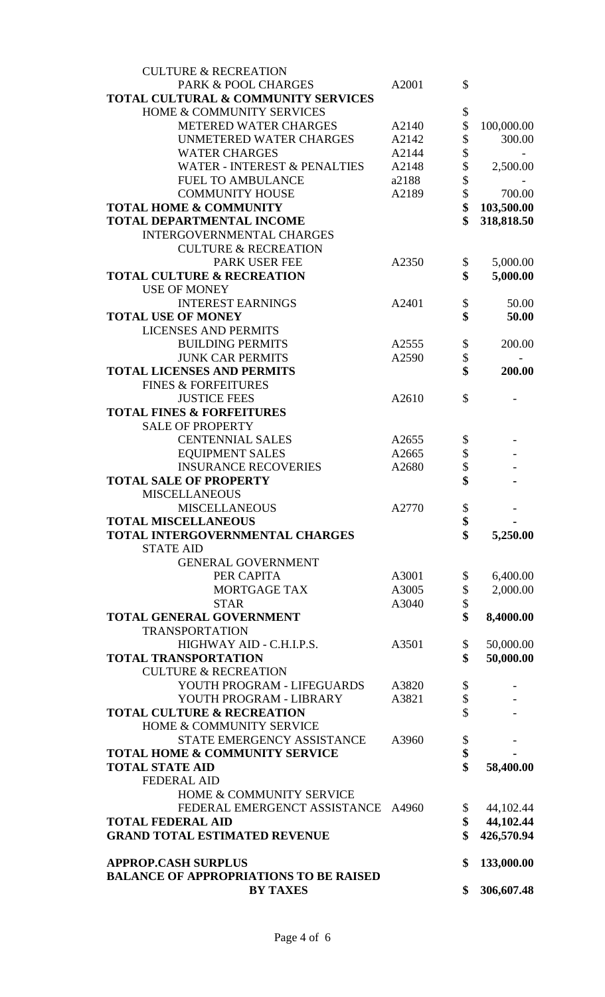| <b>CULTURE &amp; RECREATION</b>                                  |       |          |                                      |
|------------------------------------------------------------------|-------|----------|--------------------------------------|
| PARK & POOL CHARGES                                              | A2001 | \$       |                                      |
| TOTAL CULTURAL & COMMUNITY SERVICES                              |       |          |                                      |
| HOME & COMMUNITY SERVICES                                        |       | \$       |                                      |
| <b>METERED WATER CHARGES</b>                                     | A2140 | \$       | 100,000.00                           |
| <b>UNMETERED WATER CHARGES</b>                                   | A2142 | \$       | 300.00                               |
| <b>WATER CHARGES</b>                                             | A2144 | \$       |                                      |
| <b>WATER - INTEREST &amp; PENALTIES</b>                          | A2148 | \$       | 2,500.00                             |
| <b>FUEL TO AMBULANCE</b>                                         | a2188 | \$       |                                      |
| <b>COMMUNITY HOUSE</b>                                           | A2189 | \$       | 700.00                               |
| <b>TOTAL HOME &amp; COMMUNITY</b>                                |       | \$       | 103,500.00                           |
| <b>TOTAL DEPARTMENTAL INCOME</b>                                 |       | \$       | 318,818.50                           |
| INTERGOVERNMENTAL CHARGES                                        |       |          |                                      |
| <b>CULTURE &amp; RECREATION</b>                                  |       |          |                                      |
|                                                                  |       |          |                                      |
| PARK USER FEE                                                    | A2350 | \$       | 5,000.00                             |
| <b>TOTAL CULTURE &amp; RECREATION</b>                            |       | \$       | 5,000.00                             |
| <b>USE OF MONEY</b>                                              |       |          |                                      |
| <b>INTEREST EARNINGS</b>                                         | A2401 | \$       | 50.00                                |
| <b>TOTAL USE OF MONEY</b>                                        |       | \$       | 50.00                                |
| <b>LICENSES AND PERMITS</b>                                      |       |          |                                      |
| <b>BUILDING PERMITS</b>                                          | A2555 | \$       | 200.00                               |
| <b>JUNK CAR PERMITS</b>                                          | A2590 | \$       |                                      |
| <b>TOTAL LICENSES AND PERMITS</b>                                |       | \$       | 200.00                               |
| <b>FINES &amp; FORFEITURES</b>                                   |       |          |                                      |
| <b>JUSTICE FEES</b>                                              | A2610 | \$       |                                      |
| <b>TOTAL FINES &amp; FORFEITURES</b>                             |       |          |                                      |
| <b>SALE OF PROPERTY</b>                                          |       |          |                                      |
| <b>CENTENNIAL SALES</b>                                          | A2655 | \$       |                                      |
| <b>EQUIPMENT SALES</b>                                           | A2665 | \$       |                                      |
| <b>INSURANCE RECOVERIES</b>                                      | A2680 | \$       |                                      |
| <b>TOTAL SALE OF PROPERTY</b>                                    |       | \$       |                                      |
| <b>MISCELLANEOUS</b>                                             |       |          |                                      |
| <b>MISCELLANEOUS</b>                                             | A2770 | \$       |                                      |
| <b>TOTAL MISCELLANEOUS</b>                                       |       | \$       |                                      |
| <b>TOTAL INTERGOVERNMENTAL CHARGES</b>                           |       | \$       | 5,250.00                             |
|                                                                  |       |          |                                      |
| <b>STATE AID</b>                                                 |       |          |                                      |
| <b>GENERAL GOVERNMENT</b>                                        |       |          |                                      |
| PER CAPITA                                                       | A3001 | \$       | 6,400.00                             |
| <b>MORTGAGE TAX</b>                                              | A3005 | \$       | 2,000.00                             |
| <b>STAR</b>                                                      |       |          |                                      |
|                                                                  | A3040 | \$       |                                      |
| <b>TOTAL GENERAL GOVERNMENT</b>                                  |       | \$       | 8,4000.00                            |
| <b>TRANSPORTATION</b>                                            |       |          |                                      |
| HIGHWAY AID - C.H.I.P.S.                                         | A3501 | \$       | 50,000.00                            |
| <b>TOTAL TRANSPORTATION</b>                                      |       | \$       | 50,000.00                            |
| <b>CULTURE &amp; RECREATION</b>                                  |       |          |                                      |
| YOUTH PROGRAM - LIFEGUARDS                                       | A3820 |          |                                      |
| YOUTH PROGRAM - LIBRARY                                          | A3821 | \$       |                                      |
| <b>TOTAL CULTURE &amp; RECREATION</b>                            |       | \$<br>\$ |                                      |
|                                                                  |       |          |                                      |
| HOME & COMMUNITY SERVICE                                         |       |          |                                      |
| STATE EMERGENCY ASSISTANCE                                       | A3960 | \$       |                                      |
| <b>TOTAL HOME &amp; COMMUNITY SERVICE</b>                        |       | \$       |                                      |
| <b>TOTAL STATE AID</b>                                           |       | \$       | 58,400.00                            |
| <b>FEDERAL AID</b>                                               |       |          |                                      |
| HOME & COMMUNITY SERVICE                                         |       |          |                                      |
| FEDERAL EMERGENCT ASSISTANCE                                     | A4960 | \$       |                                      |
| <b>TOTAL FEDERAL AID</b>                                         |       | \$       |                                      |
| <b>GRAND TOTAL ESTIMATED REVENUE</b>                             |       | \$       | 44,102.44<br>44,102.44<br>426,570.94 |
|                                                                  |       |          |                                      |
| <b>APPROP.CASH SURPLUS</b>                                       |       | \$       | 133,000.00                           |
| <b>BALANCE OF APPROPRIATIONS TO BE RAISED</b><br><b>BY TAXES</b> |       | \$       | 306,607.48                           |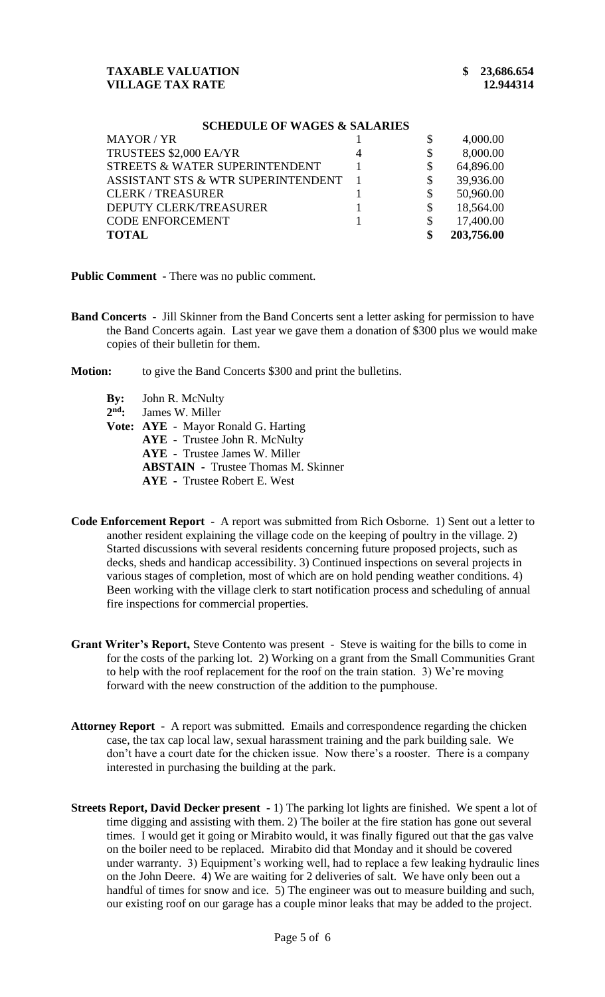#### **SCHEDULE OF WAGES & SALARIES**

| MAYOR / YR                         |    | 4,000.00   |
|------------------------------------|----|------------|
| TRUSTEES \$2,000 EA/YR             | \$ | 8,000.00   |
| STREETS & WATER SUPERINTENDENT     | \$ | 64,896.00  |
| ASSISTANT STS & WTR SUPERINTENDENT | \$ | 39,936.00  |
| <b>CLERK/TREASURER</b>             | \$ | 50,960.00  |
| DEPUTY CLERK/TREASURER             |    | 18,564.00  |
| <b>CODE ENFORCEMENT</b>            |    | 17,400.00  |
| <b>TOTAL</b>                       | \$ | 203,756.00 |

**Public Comment -** There was no public comment.

- **Band Concerts -** Jill Skinner from the Band Concerts sent a letter asking for permission to have the Band Concerts again. Last year we gave them a donation of \$300 plus we would make copies of their bulletin for them.
- **Motion:** to give the Band Concerts \$300 and print the bulletins.
	- **By:** John R. McNulty
	- 2<sup>nd</sup>: James W. Miller
	- **Vote: AYE -** Mayor Ronald G. Harting
		- **AYE -** Trustee John R. McNulty
		- **AYE -** Trustee James W. Miller
		- **ABSTAIN -** Trustee Thomas M. Skinner
		- **AYE -** Trustee Robert E. West
- **Code Enforcement Report** A report was submitted from Rich Osborne. 1) Sent out a letter to another resident explaining the village code on the keeping of poultry in the village. 2) Started discussions with several residents concerning future proposed projects, such as decks, sheds and handicap accessibility. 3) Continued inspections on several projects in various stages of completion, most of which are on hold pending weather conditions. 4) Been working with the village clerk to start notification process and scheduling of annual fire inspections for commercial properties.
- **Grant Writer's Report,** Steve Contento was present Steve is waiting for the bills to come in for the costs of the parking lot. 2) Working on a grant from the Small Communities Grant to help with the roof replacement for the roof on the train station. 3) We're moving forward with the neew construction of the addition to the pumphouse.
- **Attorney Report** A report was submitted. Emails and correspondence regarding the chicken case, the tax cap local law, sexual harassment training and the park building sale. We don't have a court date for the chicken issue. Now there's a rooster. There is a company interested in purchasing the building at the park.
- **Streets Report, David Decker present -** 1) The parking lot lights are finished. We spent a lot of time digging and assisting with them. 2) The boiler at the fire station has gone out several times. I would get it going or Mirabito would, it was finally figured out that the gas valve on the boiler need to be replaced. Mirabito did that Monday and it should be covered under warranty. 3) Equipment's working well, had to replace a few leaking hydraulic lines on the John Deere. 4) We are waiting for 2 deliveries of salt. We have only been out a handful of times for snow and ice. 5) The engineer was out to measure building and such, our existing roof on our garage has a couple minor leaks that may be added to the project.